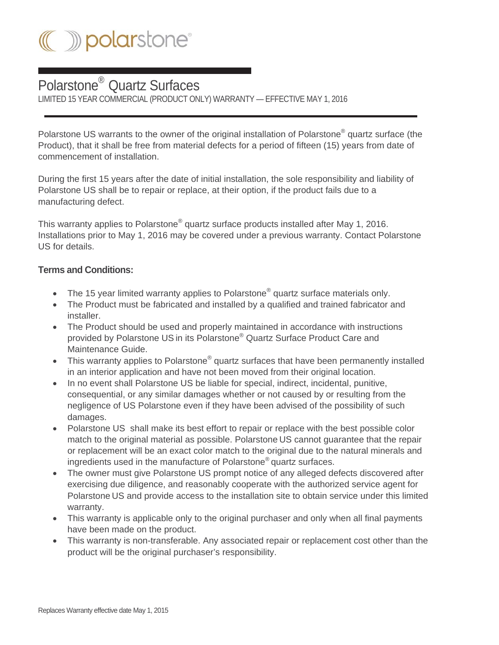

## Polarstone® Quartz Surfaces

LIMITED 15 YEAR COMMERCIAL (PRODUCT ONLY) WARRANTY — EFFECTIVE MAY 1, 2016

Polarstone US warrants to the owner of the original installation of Polarstone® quartz surface (the Product), that it shall be free from material defects for a period of fifteen (15) years from date of commencement of installation.

During the first 15 years after the date of initial installation, the sole responsibility and liability of Polarstone US shall be to repair or replace, at their option, if the product fails due to a manufacturing defect.

This warranty applies to Polarstone<sup>®</sup> quartz surface products installed after May 1, 2016. Installations prior to May 1, 2016 may be covered under a previous warranty. Contact Polarstone US for details.

## **Terms and Conditions:**

- The 15 year limited warranty applies to Polarstone<sup>®</sup> quartz surface materials only.
- The Product must be fabricated and installed by a qualified and trained fabricator and installer.
- The Product should be used and properly maintained in accordance with instructions provided by Polarstone US in its Polarstone® Quartz Surface Product Care and Maintenance Guide.
- This warranty applies to Polarstone<sup>®</sup> quartz surfaces that have been permanently installed in an interior application and have not been moved from their original location.
- In no event shall Polarstone US be liable for special, indirect, incidental, punitive, consequential, or any similar damages whether or not caused by or resulting from the negligence of US Polarstone even if they have been advised of the possibility of such damages.
- Polarstone US shall make its best effort to repair or replace with the best possible color match to the original material as possible. Polarstone US cannot guarantee that the repair or replacement will be an exact color match to the original due to the natural minerals and ingredients used in the manufacture of Polarstone® quartz surfaces.
- The owner must give Polarstone US prompt notice of any alleged defects discovered after exercising due diligence, and reasonably cooperate with the authorized service agent for Polarstone US and provide access to the installation site to obtain service under this limited warranty.
- This warranty is applicable only to the original purchaser and only when all final payments have been made on the product.
- This warranty is non-transferable. Any associated repair or replacement cost other than the product will be the original purchaser's responsibility.